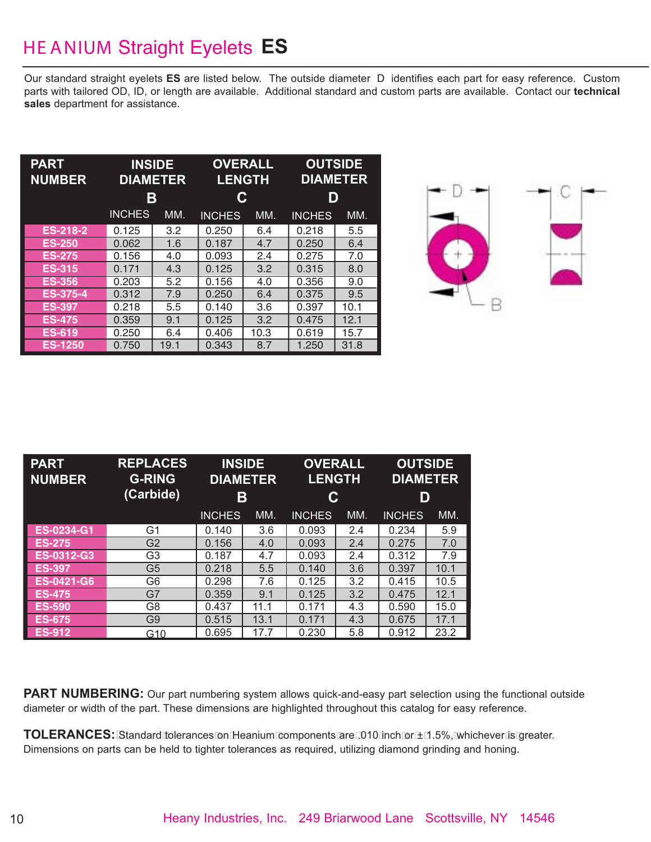## HE ANIUM Straight Eyelets **ES**

Our standard straight eyelets **ES** are listed below. The outside diameter D identifies each part for easy reference. Custom parts with tailored OD, ID, or length are available. Additional standard and custom parts are available. Contact our **technical sales** department for assistance.

| <b>PART</b><br><b>NUMBER</b> | <b>INSIDE</b><br><b>DIAMETER</b><br>Β |      | <b>OVERALL</b><br>С | <b>LENGTH</b> | <b>OUTSIDE</b><br><b>DIAMETER</b><br>D |      |  |
|------------------------------|---------------------------------------|------|---------------------|---------------|----------------------------------------|------|--|
|                              | <b>INCHES</b>                         | MM.  | <b>INCHES</b>       | MM.           | <b>INCHES</b>                          | MM.  |  |
| <b>ES-218-2</b>              | 0.125                                 | 3.2  | 0.250               | 6.4           | 0.218                                  | 5.5  |  |
| <b>ES-250</b>                | 0.062                                 | 1.6  | 0.187               | 4.7           | 0.250                                  | 6.4  |  |
| <b>ES-275</b>                | 0.156                                 | 4.0  | 0.093               | 2.4           | 0.275                                  | 7.0  |  |
| <b>ES-315</b>                | 0.171                                 | 4.3  | 0.125               | 3.2           | 0.315                                  | 8.0  |  |
| <b>ES-356</b>                | 0.203                                 | 5.2  | 0.156               | 4.0           | 0.356                                  | 9.0  |  |
| <b>ES-375-4</b>              | 0.312                                 | 7.9  | 0.250               | 6.4           | 0.375                                  | 9.5  |  |
| <b>ES-397</b>                | 0.218                                 | 5.5  | 0.140               | 3.6           | 0.397                                  | 10.1 |  |
| <b>ES-475</b>                | 0.359                                 | 9.1  | 0.125               | 3.2           | 0.475                                  | 12.1 |  |
| <b>ES-619</b>                | 0.250                                 | 6.4  | 0.406               | 10.3          | 0.619                                  | 15.7 |  |
| <b>ES-1250</b>               | 0.750                                 | 19.1 | 0.343               | 8.7           | 1.250                                  | 31.8 |  |



| <b>PART</b><br><b>NUMBER</b> | <b>REPLACES</b><br><b>G-RING</b><br>(Carbide) | <b>INSIDE</b><br><b>DIAMETER</b><br>Β |      | <b>OVERALL</b><br><b>LENGTH</b><br>C |     | <b>OUTSIDE</b><br><b>DIAMETER</b><br>D |      |
|------------------------------|-----------------------------------------------|---------------------------------------|------|--------------------------------------|-----|----------------------------------------|------|
|                              |                                               | <b>INCHES</b>                         | MM.  | <b>INCHES</b>                        | MM. | <b>INCHES</b>                          | MM.  |
| ES-0234-G1                   | G1                                            | 0.140                                 | 3.6  | 0.093                                | 2.4 | 0.234                                  | 5.9  |
| <b>ES-275</b>                | G <sub>2</sub>                                | 0.156                                 | 4.0  | 0.093                                | 2.4 | 0.275                                  | 7.0  |
| ES-0312-G3                   | G3                                            | 0.187                                 | 4.7  | 0.093                                | 2.4 | 0.312                                  | 7.9  |
| <b>ES-397</b>                | G <sub>5</sub>                                | 0.218                                 | 5.5  | 0.140                                | 3.6 | 0.397                                  | 10.1 |
| <b>ES-0421-G6</b>            | G6                                            | 0.298                                 | 7.6  | 0.125                                | 3.2 | 0.415                                  | 10.5 |
| <b>ES-475</b>                | G7                                            | 0.359                                 | 9.1  | 0.125                                | 3.2 | 0.475                                  | 12.1 |
| <b>ES-590</b>                | G8                                            | 0.437                                 | 11.1 | 0.171                                | 4.3 | 0.590                                  | 15.0 |
| <b>ES-675</b>                | G9                                            | 0.515                                 | 13.1 | 0.171                                | 4.3 | 0.675                                  | 17.1 |
| <b>ES-912</b>                | G10                                           | 0.695                                 | 17.7 | 0.230                                | 5.8 | 0.912                                  | 23.2 |

**PART NUMBERING:** Our part numbering system allows quick-and-easy part selection using the functional outside diameter or width of the part. These dimensions are highlighted throughout this catalog for easy reference.

**TOLERANCES:** Standard tolerances on Heanium components are .010 inch or ± 1.5%, whichever is greater. Dimensions on parts can be held to tighter tolerances as required, utilizing diamond grinding and honing.